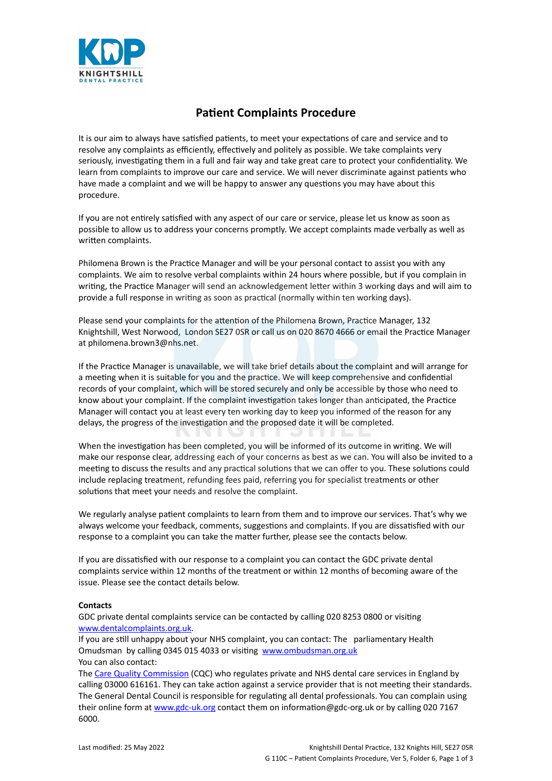

## **Patient Complaints Procedure**

It is our aim to always have satisfied patients, to meet your expectations of care and service and to resolve any complaints as efficiently, effectively and politely as possible. We take complaints very seriously, investigating them in a full and fair way and take great care to protect your confidentiality. We learn from complaints to improve our care and service. We will never discriminate against patients who have made a complaint and we will be happy to answer any questions you may have about this procedure.

If you are not entirely satisfied with any aspect of our care or service, please let us know as soon as possible to allow us to address your concerns promptly. We accept complaints made verbally as well as written complaints.

Philomena Brown is the Practice Manager and will be your personal contact to assist you with any complaints. We aim to resolve verbal complaints within 24 hours where possible, but if you complain in writing, the Practice Manager will send an acknowledgement letter within 3 working days and will aim to provide a full response in writing as soon as practical (normally within ten working days).

Please send your complaints for the attention of the Philomena Brown, Practice Manager, 132 Knightshill, West Norwood, London SE27 0SR or call us on 020 8670 4666 or email the Practice Manager at philomena.brown3@nhs.net.

If the Practice Manager is unavailable, we will take brief details about the complaint and will arrange for a meeting when it is suitable for you and the practice. We will keep comprehensive and confidential records of your complaint, which will be stored securely and only be accessible by those who need to know about your complaint. If the complaint investigation takes longer than anticipated, the Practice Manager will contact you at least every ten working day to keep you informed of the reason for any delays, the progress of the investigation and the proposed date it will be completed.

When the investigation has been completed, you will be informed of its outcome in writing. We will make our response clear, addressing each of your concerns as best as we can. You will also be invited to a meeting to discuss the results and any practical solutions that we can offer to you. These solutions could include replacing treatment, refunding fees paid, referring you for specialist treatments or other solutions that meet your needs and resolve the complaint.

We regularly analyse patient complaints to learn from them and to improve our services. That's why we always welcome your feedback, comments, suggestions and complaints. If you are dissatisfied with our response to a complaint you can take the matter further, please see the contacts below.

If you are dissatisfied with our response to a complaint you can contact the GDC private dental complaints service within 12 months of the treatment or within 12 months of becoming aware of the issue. Please see the contact details below.

## **Contacts**

GDC private dental complaints service can be contacted by calling 020 8253 0800 or visiting [www.dentalcomplaints.org.uk.](http://www.dentalcomplaints.org.uk/)

If you are still unhappy about your NHS complaint, you can contact: The parliamentary Health Omudsman by calling 0345 015 4033 or visiting [www.ombudsman.org.uk](http://www.ombudsman.org.uk/) You can also contact:

The [Care Quality Commission](http://www.cqc.org.uk/) (CQC) who regulates private and NHS dental care services in England by calling 03000 616161. They can take action against a service provider that is not meeting their standards. The General Dental Council is responsible for regulating all dental professionals. You can complain using their online form at [www.gdc-uk.org](http://contactus.gdc-uk.org/Enquiry/SelectType) contact them on information@gdc-org.uk or by calling 020 7167 6000.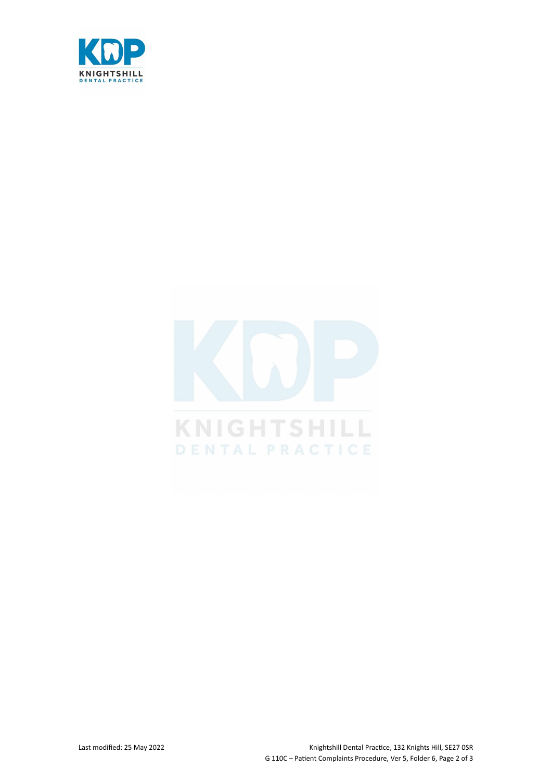